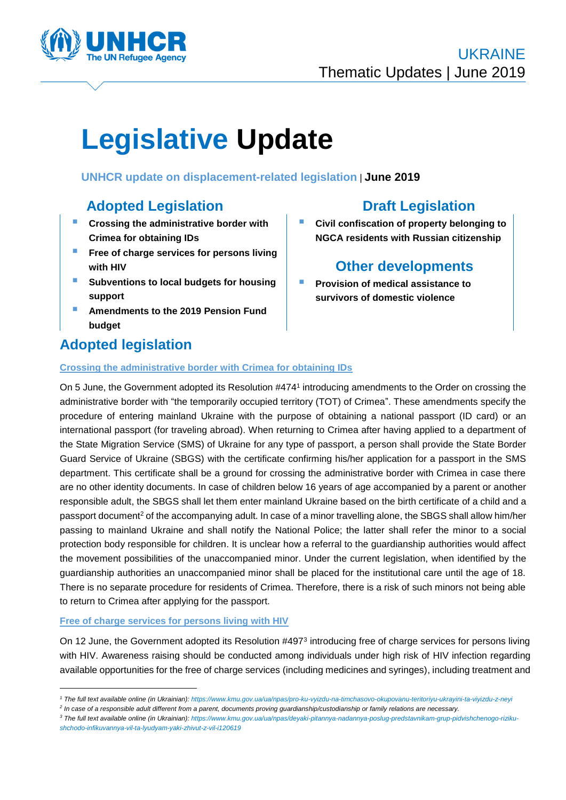

# **Legislative Update**

**Crossing the administrative border with Crimea for obtaining IDs**

**UNHCR update on displacement-related legislation** | **June 2019**

# **Adopted Legislation Draft Legislation**

- **Crossing the administrative border with Crimea for obtaining IDs**
- **Free of charge services for persons living with HIV**
- **Subventions to local budgets for housing support**
- **Amendments to the 2019 Pension Fund budget**

# **Adopted legislation**

 **Civil confiscation of property belonging to NGCA residents with Russian citizenship**

# **Other developments**

 **Provision of medical assistance to survivors of domestic violence**

On 5 June, the Government adopted its Resolution #474<sup>1</sup> introducing amendments to the Order on crossing the administrative border with "the temporarily occupied territory (TOT) of Crimea". These amendments specify the procedure of entering mainland Ukraine with the purpose of obtaining a national passport (ID card) or an international passport (for traveling abroad). When returning to Crimea after having applied to a department of the State Migration Service (SMS) of Ukraine for any type of passport, a person shall provide the State Border Guard Service of Ukraine (SBGS) with the certificate confirming his/her application for a passport in the SMS department. This certificate shall be a ground for crossing the administrative border with Crimea in case there are no other identity documents. In case of children below 16 years of age accompanied by a parent or another responsible adult, the SBGS shall let them enter mainland Ukraine based on the birth certificate of a child and a passport document<sup>2</sup> of the accompanying adult. In case of a minor travelling alone, the SBGS shall allow him/her passing to mainland Ukraine and shall notify the National Police; the latter shall refer the minor to a social protection body responsible for children. It is unclear how a referral to the guardianship authorities would affect the movement possibilities of the unaccompanied minor. Under the current legislation, when identified by the guardianship authorities an unaccompanied minor shall be placed for the institutional care until the age of 18. There is no separate procedure for residents of Crimea. Therefore, there is a risk of such minors not being able to return to Crimea after applying for the passport.

#### **Free of charge services for persons living with HIV**

1

On 12 June, the Government adopted its Resolution #497<sup>3</sup> introducing free of charge services for persons living with HIV. Awareness raising should be conducted among individuals under high risk of HIV infection regarding available opportunities for the free of charge services (including medicines and syringes), including treatment and

*<sup>1</sup> The full text available online (in Ukrainian): <https://www.kmu.gov.ua/ua/npas/pro-ku-vyizdu-na-timchasovo-okupovanu-teritoriyu-ukrayini-ta-viyizdu-z-neyi>*

*<sup>2</sup> In case of a responsible adult different from a parent, documents proving guardianship/custodianship or family relations are necessary.*

*<sup>3</sup> The full text available online (in Ukrainian): [https://www.kmu.gov.ua/ua/npas/deyaki-pitannya-nadannya-poslug-predstavnikam-grup-pidvishchenogo-riziku](https://www.kmu.gov.ua/ua/npas/deyaki-pitannya-nadannya-poslug-predstavnikam-grup-pidvishchenogo-riziku-shchodo-infikuvannya-vil-ta-lyudyam-yaki-zhivut-z-vil-i120619)[shchodo-infikuvannya-vil-ta-lyudyam-yaki-zhivut-z-vil-i120619](https://www.kmu.gov.ua/ua/npas/deyaki-pitannya-nadannya-poslug-predstavnikam-grup-pidvishchenogo-riziku-shchodo-infikuvannya-vil-ta-lyudyam-yaki-zhivut-z-vil-i120619)*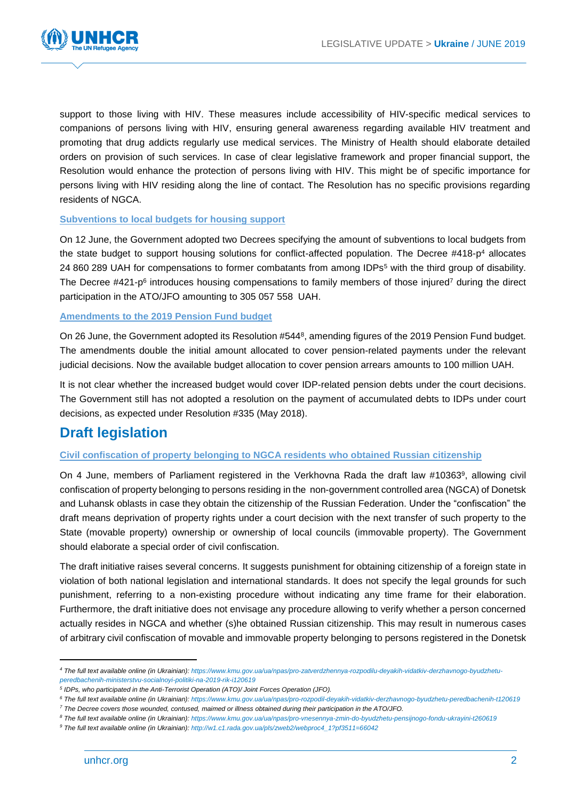

support to those living with HIV. These measures include accessibility of HIV-specific medical services to companions of persons living with HIV, ensuring general awareness regarding available HIV treatment and promoting that drug addicts regularly use medical services. The Ministry of Health should elaborate detailed orders on provision of such services. In case of clear legislative framework and proper financial support, the Resolution would enhance the protection of persons living with HIV. This might be of specific importance for persons living with HIV residing along the line of contact. The Resolution has no specific provisions regarding residents of NGCA.

#### **Subventions to local budgets for housing support**

On 12 June, the Government adopted two Decrees specifying the amount of subventions to local budgets from the state budget to support housing solutions for conflict-affected population. The Decree  $\#418-p^4$  allocates 24 860 289 UAH for compensations to former combatants from among IDPs<sup>5</sup> with the third group of disability. The Decree  $#421-p<sup>6</sup>$  introduces housing compensations to family members of those injured<sup>7</sup> during the direct participation in the ATO/JFO amounting to 305 057 558 UAH.

#### **Amendments to the 2019 Pension Fund budget**

On 26 June, the Government adopted its Resolution #544<sup>8</sup>, amending figures of the 2019 Pension Fund budget. The amendments double the initial amount allocated to cover pension-related payments under the relevant judicial decisions. Now the available budget allocation to cover pension arrears amounts to 100 million UAH.

It is not clear whether the increased budget would cover IDP-related pension debts under the court decisions. The Government still has not adopted a resolution on the payment of accumulated debts to IDPs under court decisions, as expected under Resolution #335 (May 2018).

# **Draft legislation**

#### **Civil confiscation of property belonging to NGCA residents who obtained Russian citizenship**

On 4 June, members of Parliament registered in the Verkhovna Rada the draft law #10363<sup>9</sup>, allowing civil confiscation of property belonging to persons residing in the non-government controlled area (NGCA) of Donetsk and Luhansk oblasts in case they obtain the citizenship of the Russian Federation. Under the "confiscation" the draft means deprivation of property rights under a court decision with the next transfer of such property to the State (movable property) ownership or ownership of local councils (immovable property). The Government should elaborate a special order of civil confiscation.

The draft initiative raises several concerns. It suggests punishment for obtaining citizenship of a foreign state in violation of both national legislation and international standards. It does not specify the legal grounds for such punishment, referring to a non-existing procedure without indicating any time frame for their elaboration. Furthermore, the draft initiative does not envisage any procedure allowing to verify whether a person concerned actually resides in NGCA and whether (s)he obtained Russian citizenship. This may result in numerous cases of arbitrary civil confiscation of movable and immovable property belonging to persons registered in the Donetsk

1

*<sup>4</sup> The full text available online (in Ukrainian)[: https://www.kmu.gov.ua/ua/npas/pro-zatverdzhennya-rozpodilu-deyakih-vidatkiv-derzhavnogo-byudzhetu](https://www.kmu.gov.ua/ua/npas/pro-zatverdzhennya-rozpodilu-deyakih-vidatkiv-derzhavnogo-byudzhetu-peredbachenih-ministerstvu-socialnoyi-politiki-na-2019-rik-i120619)[peredbachenih-ministerstvu-socialnoyi-politiki-na-2019-rik-i120619](https://www.kmu.gov.ua/ua/npas/pro-zatverdzhennya-rozpodilu-deyakih-vidatkiv-derzhavnogo-byudzhetu-peredbachenih-ministerstvu-socialnoyi-politiki-na-2019-rik-i120619)*

*<sup>5</sup> IDPs, who participated in the Anti-Terrorist Operation (ATO)/ Joint Forces Operation (JFO).*

*<sup>6</sup> The full text available online (in Ukrainian)[: https://www.kmu.gov.ua/ua/npas/pro-rozpodil-deyakih-vidatkiv-derzhavnogo-byudzhetu-peredbachenih-t120619](https://www.kmu.gov.ua/ua/npas/pro-rozpodil-deyakih-vidatkiv-derzhavnogo-byudzhetu-peredbachenih-t120619)*

*<sup>7</sup> The Decree covers those wounded, contused, maimed or illness obtained during their participation in the ATO/JFO.*

*<sup>8</sup> The full text available online (in Ukrainian): <https://www.kmu.gov.ua/ua/npas/pro-vnesennya-zmin-do-byudzhetu-pensijnogo-fondu-ukrayini-t260619>*

*<sup>9</sup> The full text available online (in Ukrainian): [http://w1.c1.rada.gov.ua/pls/zweb2/webproc4\\_1?pf3511=66042](http://w1.c1.rada.gov.ua/pls/zweb2/webproc4_1?pf3511=66042)*